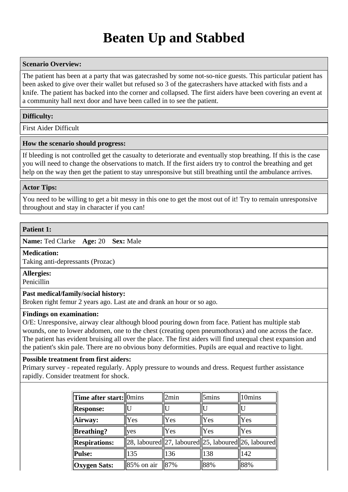# **Beaten Up and Stabbed**

# **Scenario Overview:**

The patient has been at a party that was gatecrashed by some not-so-nice guests. This particular patient has been asked to give over their wallet but refused so 3 of the gatecrashers have attacked with fists and a knife. The patient has backed into the corner and collapsed. The first aiders have been covering an event at a community hall next door and have been called in to see the patient.

# **Difficulty:**

First Aider Difficult

## **How the scenario should progress:**

If bleeding is not controlled get the casualty to deteriorate and eventually stop breathing. If this is the case you will need to change the observations to match. If the first aiders try to control the breathing and get help on the way then get the patient to stay unresponsive but still breathing until the ambulance arrives.

# **Actor Tips:**

You need to be willing to get a bit messy in this one to get the most out of it! Try to remain unresponsive throughout and stay in character if you can!

## **Patient 1:**

**Name:** Ted Clarke **Age:** 20 **Sex:** Male

## **Medication:**

Taking anti-depressants (Prozac)

## **Allergies:**

Penicillin

## **Past medical/family/social history:**

Broken right femur 2 years ago. Last ate and drank an hour or so ago.

# **Findings on examination:**

O/E: Unresponsive, airway clear although blood pouring down from face. Patient has multiple stab wounds, one to lower abdomen, one to the chest (creating open pneumothorax) and one across the face. The patient has evident bruising all over the place. The first aiders will find unequal chest expansion and the patient's skin pale. There are no obvious bony deformities. Pupils are equal and reactive to light.

## **Possible treatment from first aiders:**

Primary survey - repeated regularly. Apply pressure to wounds and dress. Request further assistance rapidly. Consider treatment for shock.

| <b>Time after start:</b> 0mins |            | 2min                                                   | 5mins | 10mins |
|--------------------------------|------------|--------------------------------------------------------|-------|--------|
| <b>Response:</b>               |            |                                                        |       | II     |
| Airway:                        | Yes        | Yes                                                    | Yes   | Yes    |
| <b>Breathing?</b>              | <b>ves</b> | Yes                                                    | Yes   | Yes    |
| <b>Respirations:</b>           |            | 28, laboured  27, laboured  25, laboured  26, laboured |       |        |
| Pulse:                         | 135        | 136                                                    | 138   | 142    |
| <b>Oxygen Sats:</b>            | 85% on air | 87%                                                    | 88%   | 88%    |